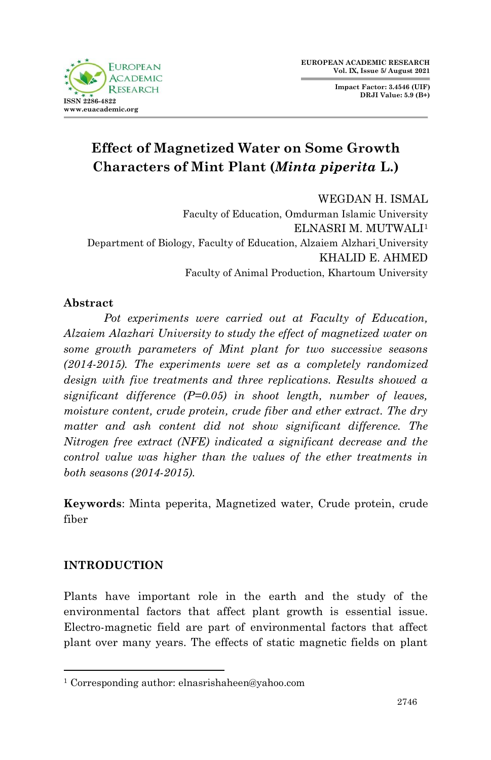**Impact Factor: 3.4546 (UIF) DRJI Value: 5.9 (B+)**



# **Effect of Magnetized Water on Some Growth Characters of Mint Plant (***Minta piperita* **L.)**

WEGDAN H. ISMAL Faculty of Education, Omdurman Islamic University ELNASRI M. MUTWALI<sup>1</sup> Department of Biology, Faculty of Education, Alzaiem Alzhari University KHALID E. AHMED Faculty of Animal Production, Khartoum University

# **Abstract**

*Pot experiments were carried out at Faculty of Education, Alzaiem Alazhari University to study the effect of magnetized water on some growth parameters of Mint plant for two successive seasons (2014-2015). The experiments were set as a completely randomized design with five treatments and three replications. Results showed a significant difference (P=0.05) in shoot length, number of leaves, moisture content, crude protein, crude fiber and ether extract. The dry matter and ash content did not show significant difference. The Nitrogen free extract (NFE) indicated a significant decrease and the control value was higher than the values of the ether treatments in both seasons (2014-2015).*

**Keywords**: Minta peperita, Magnetized water, Crude protein, crude fiber

# **INTRODUCTION**

1

Plants have important role in the earth and the study of the environmental factors that affect plant growth is essential issue. Electro-magnetic field are part of environmental factors that affect plant over many years. The effects of static magnetic fields on plant

<sup>1</sup> Corresponding author: elnasrishaheen@yahoo.com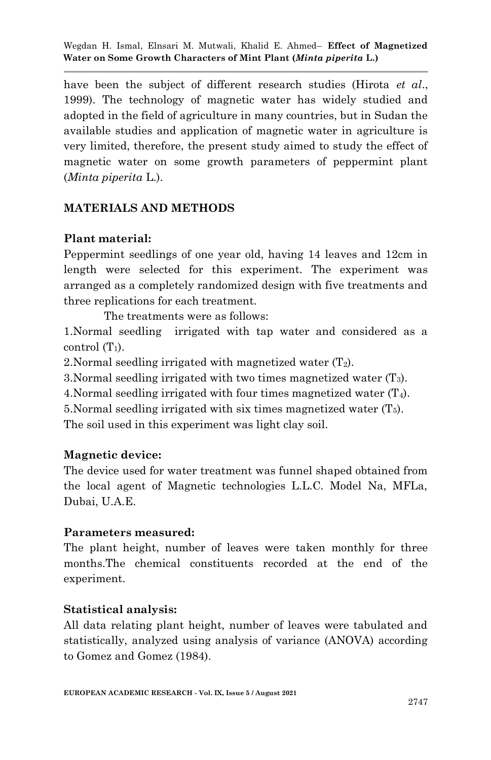have been the subject of different research studies (Hirota *et al*., 1999). The technology of magnetic water has widely studied and adopted in the field of agriculture in many countries, but in Sudan the available studies and application of magnetic water in agriculture is very limited, therefore, the present study aimed to study the effect of magnetic water on some growth parameters of peppermint plant (*Minta piperita* L.).

# **MATERIALS AND METHODS**

# **Plant material:**

Peppermint seedlings of one year old, having 14 leaves and 12cm in length were selected for this experiment. The experiment was arranged as a completely randomized design with five treatments and three replications for each treatment.

The treatments were as follows:

1.Normal seedling irrigated with tap water and considered as a control  $(T_1)$ .

2. Normal seedling irrigated with magnetized water  $(T_2)$ .

3. Normal seedling irrigated with two times magnetized water  $(T_3)$ .

4. Normal seedling irrigated with four times magnetized water  $(T_4)$ .

5. Normal seedling irrigated with six times magnetized water  $(T_5)$ .

The soil used in this experiment was light clay soil.

# **Magnetic device:**

The device used for water treatment was funnel shaped obtained from the local agent of Magnetic technologies L.L.C. Model Na, MFLa, Dubai, U.A.E.

# **Parameters measured:**

The plant height, number of leaves were taken monthly for three months.The chemical constituents recorded at the end of the experiment.

# **Statistical analysis:**

All data relating plant height, number of leaves were tabulated and statistically, analyzed using analysis of variance (ANOVA) according to Gomez and Gomez (1984).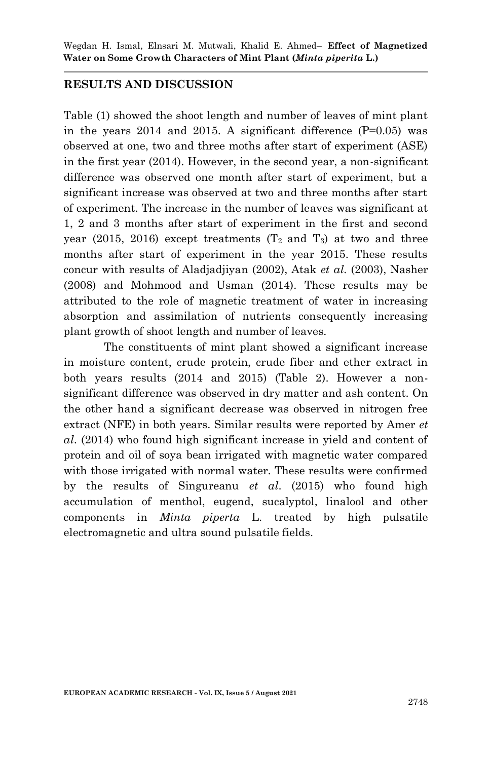#### **RESULTS AND DISCUSSION**

Table (1) showed the shoot length and number of leaves of mint plant in the years  $2014$  and  $2015$ . A significant difference  $(P=0.05)$  was observed at one, two and three moths after start of experiment (ASE) in the first year (2014). However, in the second year, a non-significant difference was observed one month after start of experiment, but a significant increase was observed at two and three months after start of experiment. The increase in the number of leaves was significant at 1, 2 and 3 months after start of experiment in the first and second year (2015, 2016) except treatments ( $T_2$  and  $T_3$ ) at two and three months after start of experiment in the year 2015. These results concur with results of Aladjadjiyan (2002), Atak *et al.* (2003), Nasher (2008) and Mohmood and Usman (2014). These results may be attributed to the role of magnetic treatment of water in increasing absorption and assimilation of nutrients consequently increasing plant growth of shoot length and number of leaves.

The constituents of mint plant showed a significant increase in moisture content, crude protein, crude fiber and ether extract in both years results (2014 and 2015) (Table 2). However a nonsignificant difference was observed in dry matter and ash content. On the other hand a significant decrease was observed in nitrogen free extract (NFE) in both years. Similar results were reported by Amer *et al*. (2014) who found high significant increase in yield and content of protein and oil of soya bean irrigated with magnetic water compared with those irrigated with normal water. These results were confirmed by the results of Singureanu *et al*. (2015) who found high accumulation of menthol, eugend, sucalyptol, linalool and other components in *Minta piperta* L. treated by high pulsatile electromagnetic and ultra sound pulsatile fields.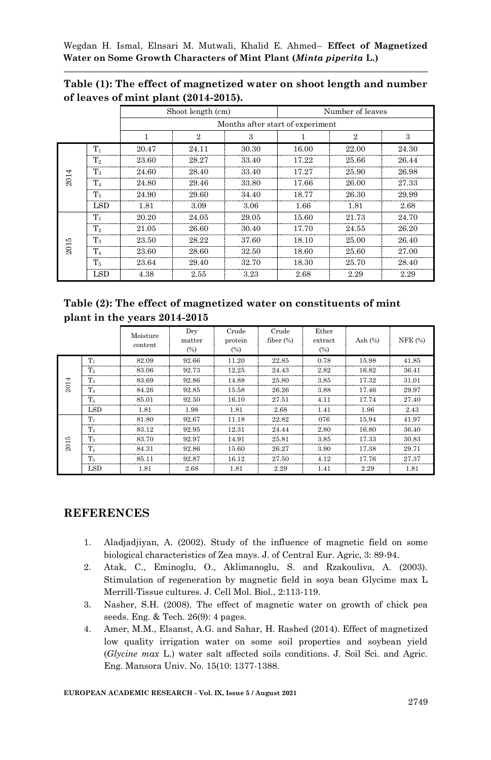|      |                | Shoot length (cm)                |                |       | Number of leaves |              |       |  |  |  |
|------|----------------|----------------------------------|----------------|-------|------------------|--------------|-------|--|--|--|
|      |                | Months after start of experiment |                |       |                  |              |       |  |  |  |
|      |                |                                  | $\overline{2}$ | 3     |                  | $\mathbf{2}$ | 3     |  |  |  |
| 2014 | $T_1$          | 20.47                            | 24.11          | 30.30 | 16.00            | 22.00        | 24.30 |  |  |  |
|      | T <sub>2</sub> | 23.60                            | 28.27          | 33.40 | 17.22            | 25.66        | 26.44 |  |  |  |
|      | T3             | 24.60                            | 28.40          | 33.40 | 17.27            | 25.90        | 26.98 |  |  |  |
|      | $T_{4}$        | 24.80                            | 29.46          | 33.80 | 17.66            | 26.00        | 27.33 |  |  |  |
|      | $T_5$          | 24.90                            | 29.60          | 34.40 | 18.77            | 26.30        | 29.99 |  |  |  |
|      | <b>LSD</b>     | 1.81                             | 3.09           | 3.06  | 1.66             | 1.81         | 2.68  |  |  |  |
| 2015 | $T_1$          | 20.20                            | 24.05          | 29.05 | 15.60            | 21.73        | 24.70 |  |  |  |
|      | T <sub>2</sub> | 21.05                            | 26.60          | 30.40 | 17.70            | 24.55        | 26.20 |  |  |  |
|      | $T_{3}$        | 23.50                            | 28.22          | 37.60 | 18.10            | 25.00        | 26.40 |  |  |  |
|      | $T_{4}$        | 23.60                            | 28.60          | 32.50 | 18.60            | 25.60        | 27.00 |  |  |  |
|      | $T_5$          | 23.64                            | 29.40          | 32.70 | 18.30            | 25.70        | 28.40 |  |  |  |
|      | <b>LSD</b>     | 4.38                             | 2.55           | 3.23  | 2.68             | 2.29         | 2.29  |  |  |  |

**Table (1): The effect of magnetized water on shoot length and number of leaves of mint plant (2014-2015).**

**Table (2): The effect of magnetized water on constituents of mint plant in the years 2014-2015**

|      |                | Moisture<br>content | Dry<br>matter<br>(%) | Crude<br>protein<br>(%) | Crude<br>fiber $(\%)$ | Ether<br>extract<br>(%) | Ash $(\%)$ | NFE (%) |
|------|----------------|---------------------|----------------------|-------------------------|-----------------------|-------------------------|------------|---------|
| 2014 | $T_1$          | 82.09               | 92.66                | 11.20                   | 22.85                 | 0.78                    | 15.98      | 41.85   |
|      | T <sub>2</sub> | 83.06               | 92.73                | 12.25                   | 24.43                 | 2.82                    | 16.82      | 36.41   |
|      | $T_3$          | 83.69               | 92.86                | 14.88                   | 25.80                 | 3.85                    | 17.32      | 31.01   |
|      | $T_4$          | 84.26               | 92.85                | 15.58                   | 26.26                 | 3.88                    | 17.46      | 29.97   |
|      | Т.             | 85.01               | 92.50                | 16.10                   | 27.51                 | 4.11                    | 17.74      | 27.40   |
|      | <b>LSD</b>     | 1.81                | 1.98                 | 1.81                    | 2.68                  | 1.41                    | 1.96       | 2.43    |
| 2015 | т,             | 81.80               | 92.67                | 11.18                   | 22.82                 | 076                     | 15.94      | 41.97   |
|      | T <sub>2</sub> | 83.12               | 92.95                | 12.31                   | 24.44                 | 2.80                    | 16.80      | 36.40   |
|      | $T_{2}$        | 83.70               | 92.97                | 14.91                   | 25.81                 | 3.85                    | 17.33      | 30.83   |
|      | $T_4$          | 84.31               | 92.86                | 15.60                   | 26.27                 | 3.90                    | 17.38      | 29.71   |
|      | T.             | 85.11               | 92.87                | 16.12                   | 27.50                 | 4.12                    | 17.76      | 27.37   |
|      | <b>LSD</b>     | 1.81                | 2.68                 | 1.81                    | 2.29                  | 1.41                    | 2.29       | 1.81    |

# **REFERENCES**

- 1. Aladjadjiyan, A. (2002). Study of the influence of magnetic field on some biological characteristics of Zea mays. J. of Central Eur. Agric, 3: 89-94.
- 2. Atak, C., Eminoglu, O., Aklimanoglu, S. and Rzakouliva, A. (2003). Stimulation of regeneration by magnetic field in soya bean Glycime max L Merrill-Tissue cultures. J. Cell Mol. Biol., 2:113-119.
- 3. Nasher, S.H. (2008). The effect of magnetic water on growth of chick pea seeds. Eng. & Tech. 26(9): 4 pages.
- 4. Amer, M.M., Elsanst, A.G. and Sahar, H. Rashed (2014). Effect of magnetized low quality irrigation water on some soil properties and soybean yield (*Glycine max* L.) water salt affected soils conditions. J. Soil Sci. and Agric. Eng. Mansora Univ. No. 15(10: 1377-1388.